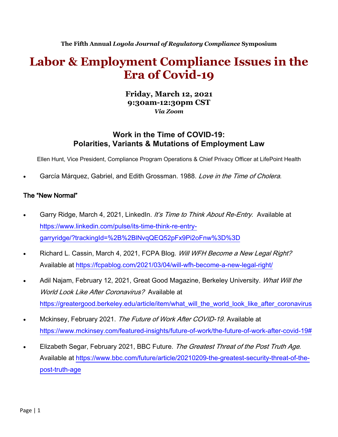**The Fifth Annual** *Loyola Journal of Regulatory Compliance* **Symposium**

# **Labor & Employment Compliance Issues in the Era of Covid-19**

**Friday, March 12, 2021 9:30am-12:30pm CST** *Via Zoom*

# **Work in the Time of COVID-19: Polarities, Variants & Mutations of Employment Law**

Ellen Hunt, Vice President, Compliance Program Operations & Chief Privacy Officer at LifePoint Health

García Márquez, Gabriel, and Edith Grossman. 1988. Love in the Time of Cholera.

#### The "New Normal"

- Garry Ridge, March 4, 2021, LinkedIn. It's Time to Think About Re-Entry. Available at https://www.linkedin.com/pulse/its-time-think-re-entrygarryridge/?trackingId=%2B%2BlNvqQEQ52pFx9Pi2oFnw%3D%3D
- Richard L. Cassin, March 4, 2021, FCPA Blog. Will WFH Become a New Legal Right? Available at https://fcpablog.com/2021/03/04/will-wfh-become-a-new-legal-right/
- Adil Najam, February 12, 2021, Great Good Magazine, Berkeley University. What Will the World Look Like After Coronavirus? Available at https://greatergood.berkeley.edu/article/item/what\_will\_the\_world\_look\_like\_after\_coronavirus
- Mckinsey, February 2021. The Future of Work After COVID-19. Available at https://www.mckinsey.com/featured-insights/future-of-work/the-future-of-work-after-covid-19#
- Elizabeth Segar, February 2021, BBC Future. The Greatest Threat of the Post Truth Age. Available at https://www.bbc.com/future/article/20210209-the-greatest-security-threat-of-thepost-truth-age